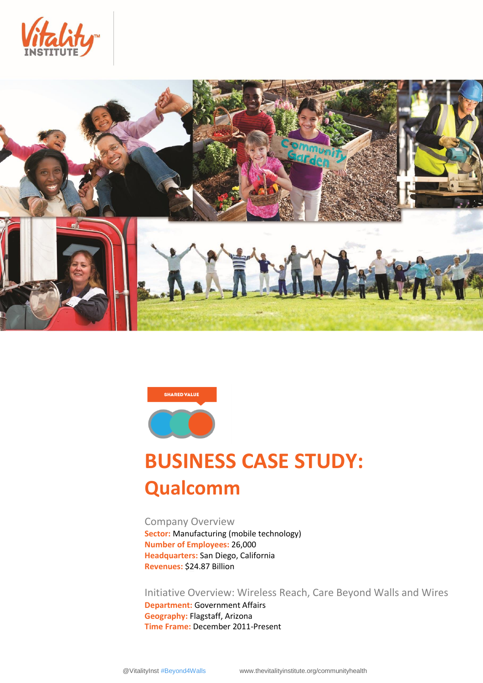





# **BUSINESS CASE STUDY: Qualcomm**

Company Overview **Sector:** Manufacturing (mobile technology) **Number of Employees:** 26,000 **Headquarters:** San Diego, California **Revenues:** \$24.87 Billion

Initiative Overview: Wireless Reach, Care Beyond Walls and Wires

**Department:** Government Affairs **Geography:** Flagstaff, Arizona **Time Frame:** December 2011-Present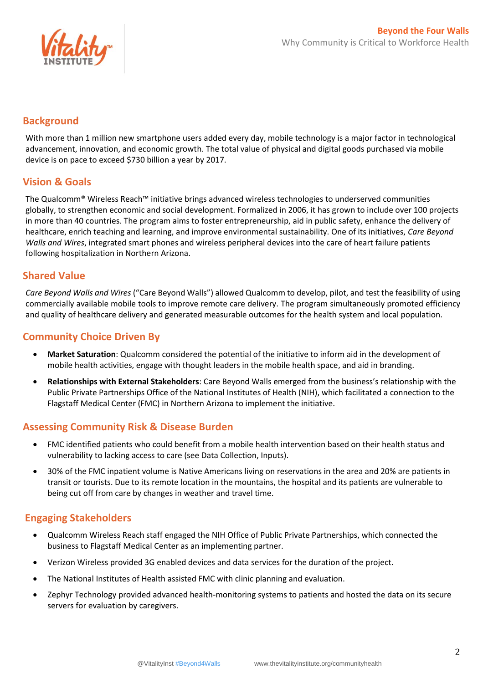

## **Background**

With more than 1 million new smartphone users added every day, mobile technology is a major factor in technological advancement, innovation, and economic growth. The total value of physical and digital goods purchased via mobile device is on pace to exceed \$730 billion a year by 2017.

## **Vision & Goals**

The Qualcomm® Wireless Reach™ initiative brings advanced wireless technologies to underserved communities globally, to strengthen economic and social development. Formalized in 2006, it has grown to include over 100 projects in more than 40 countries. The program aims to foster entrepreneurship, aid in public safety, enhance the delivery of healthcare, enrich teaching and learning, and improve environmental sustainability. One of its initiatives, *Care Beyond Walls and Wires*, integrated smart phones and wireless peripheral devices into the care of heart failure patients following hospitalization in Northern Arizona.

#### **Shared Value**

*Care Beyond Walls and Wires* ("Care Beyond Walls") allowed Qualcomm to develop, pilot, and test the feasibility of using commercially available mobile tools to improve remote care delivery. The program simultaneously promoted efficiency and quality of healthcare delivery and generated measurable outcomes for the health system and local population.

## **Community Choice Driven By**

- **Market Saturation**: Qualcomm considered the potential of the initiative to inform aid in the development of mobile health activities, engage with thought leaders in the mobile health space, and aid in branding.
- **Relationships with External Stakeholders**: Care Beyond Walls emerged from the business's relationship with the Public Private Partnerships Office of the National Institutes of Health (NIH), which facilitated a connection to the Flagstaff Medical Center (FMC) in Northern Arizona to implement the initiative.

## **Assessing Community Risk & Disease Burden**

- FMC identified patients who could benefit from a mobile health intervention based on their health status and vulnerability to lacking access to care (see Data Collection, Inputs).
- 30% of the FMC inpatient volume is Native Americans living on reservations in the area and 20% are patients in transit or tourists. Due to its remote location in the mountains, the hospital and its patients are vulnerable to being cut off from care by changes in weather and travel time.

## **Engaging Stakeholders**

- Qualcomm Wireless Reach staff engaged the NIH Office of Public Private Partnerships, which connected the business to Flagstaff Medical Center as an implementing partner.
- Verizon Wireless provided 3G enabled devices and data services for the duration of the project.
- The National Institutes of Health assisted FMC with clinic planning and evaluation.
- Zephyr Technology provided advanced health-monitoring systems to patients and hosted the data on its secure servers for evaluation by caregivers.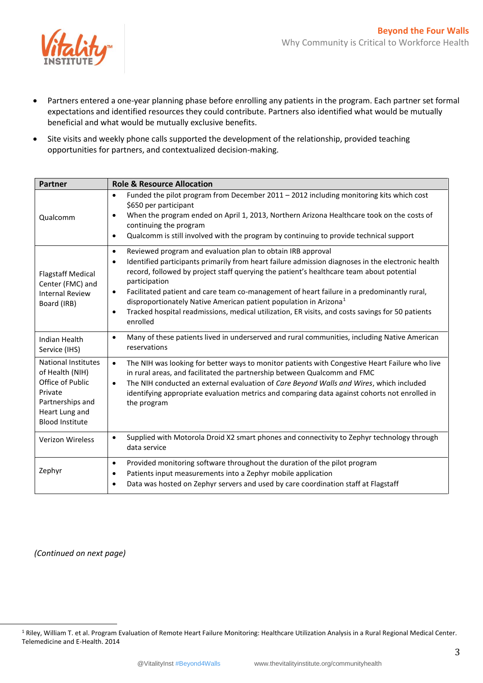

- Partners entered a one-year planning phase before enrolling any patients in the program. Each partner set formal expectations and identified resources they could contribute. Partners also identified what would be mutually beneficial and what would be mutually exclusive benefits.
- Site visits and weekly phone calls supported the development of the relationship, provided teaching opportunities for partners, and contextualized decision-making.

| <b>Partner</b>                                                                                                                               | <b>Role &amp; Resource Allocation</b>                                                                                                                                                                                                                                                                                                                                                                                                                                                                                                                                                                                            |  |
|----------------------------------------------------------------------------------------------------------------------------------------------|----------------------------------------------------------------------------------------------------------------------------------------------------------------------------------------------------------------------------------------------------------------------------------------------------------------------------------------------------------------------------------------------------------------------------------------------------------------------------------------------------------------------------------------------------------------------------------------------------------------------------------|--|
| Qualcomm                                                                                                                                     | Funded the pilot program from December 2011 - 2012 including monitoring kits which cost<br>$\bullet$<br>\$650 per participant<br>When the program ended on April 1, 2013, Northern Arizona Healthcare took on the costs of<br>$\bullet$<br>continuing the program<br>Qualcomm is still involved with the program by continuing to provide technical support<br>$\bullet$                                                                                                                                                                                                                                                         |  |
| <b>Flagstaff Medical</b><br>Center (FMC) and<br><b>Internal Review</b><br>Board (IRB)                                                        | Reviewed program and evaluation plan to obtain IRB approval<br>$\bullet$<br>Identified participants primarily from heart failure admission diagnoses in the electronic health<br>$\bullet$<br>record, followed by project staff querying the patient's healthcare team about potential<br>participation<br>Facilitated patient and care team co-management of heart failure in a predominantly rural,<br>$\bullet$<br>disproportionately Native American patient population in Arizona <sup>1</sup><br>Tracked hospital readmissions, medical utilization, ER visits, and costs savings for 50 patients<br>$\bullet$<br>enrolled |  |
| Indian Health<br>Service (IHS)                                                                                                               | Many of these patients lived in underserved and rural communities, including Native American<br>$\bullet$<br>reservations                                                                                                                                                                                                                                                                                                                                                                                                                                                                                                        |  |
| <b>National Institutes</b><br>of Health (NIH)<br>Office of Public<br>Private<br>Partnerships and<br>Heart Lung and<br><b>Blood Institute</b> | The NIH was looking for better ways to monitor patients with Congestive Heart Failure who live<br>$\bullet$<br>in rural areas, and facilitated the partnership between Qualcomm and FMC<br>The NIH conducted an external evaluation of Care Beyond Walls and Wires, which included<br>$\bullet$<br>identifying appropriate evaluation metrics and comparing data against cohorts not enrolled in<br>the program                                                                                                                                                                                                                  |  |
| Verizon Wireless                                                                                                                             | Supplied with Motorola Droid X2 smart phones and connectivity to Zephyr technology through<br>$\bullet$<br>data service                                                                                                                                                                                                                                                                                                                                                                                                                                                                                                          |  |
| Zephyr                                                                                                                                       | Provided monitoring software throughout the duration of the pilot program<br>$\bullet$<br>Patients input measurements into a Zephyr mobile application<br>$\bullet$<br>Data was hosted on Zephyr servers and used by care coordination staff at Flagstaff<br>$\bullet$                                                                                                                                                                                                                                                                                                                                                           |  |

*(Continued on next page)*

 $\overline{a}$ 

<sup>&</sup>lt;sup>1</sup> Riley, William T. et al. Program Evaluation of Remote Heart Failure Monitoring: Healthcare Utilization Analysis in a Rural Regional Medical Center. Telemedicine and E-Health. 2014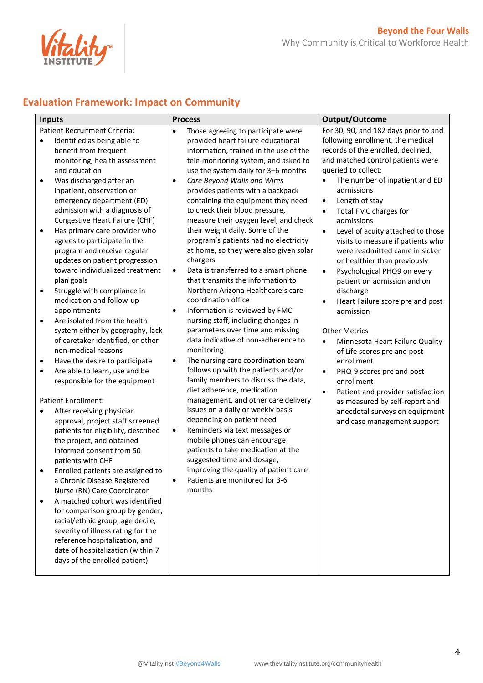

## **Evaluation Framework: Impact on Community**

| <b>Inputs</b>                                                                                                                                                                                                                                                                                                                                                                                                                                                                                                                                                                                                                                                                                                                                                                                                                                                                                                                                                                                                                                                                                                                                                                                                                                                                                                                                                                                                                                                                      | <b>Process</b>                                                                                                                                                                                                                                                                                                                                                                                                                                                                                                                                                                                                                                                                                                                                                                                                                                                                                                                                                                                                                                                                                                                                                                                                                                                                                                                                                                                          | Output/Outcome                                                                                                                                                                                                                                                                                                                                                                                                                                                                                                                                                                                                                                                                                                                                                                                                                                                                                                                                                                |
|------------------------------------------------------------------------------------------------------------------------------------------------------------------------------------------------------------------------------------------------------------------------------------------------------------------------------------------------------------------------------------------------------------------------------------------------------------------------------------------------------------------------------------------------------------------------------------------------------------------------------------------------------------------------------------------------------------------------------------------------------------------------------------------------------------------------------------------------------------------------------------------------------------------------------------------------------------------------------------------------------------------------------------------------------------------------------------------------------------------------------------------------------------------------------------------------------------------------------------------------------------------------------------------------------------------------------------------------------------------------------------------------------------------------------------------------------------------------------------|---------------------------------------------------------------------------------------------------------------------------------------------------------------------------------------------------------------------------------------------------------------------------------------------------------------------------------------------------------------------------------------------------------------------------------------------------------------------------------------------------------------------------------------------------------------------------------------------------------------------------------------------------------------------------------------------------------------------------------------------------------------------------------------------------------------------------------------------------------------------------------------------------------------------------------------------------------------------------------------------------------------------------------------------------------------------------------------------------------------------------------------------------------------------------------------------------------------------------------------------------------------------------------------------------------------------------------------------------------------------------------------------------------|-------------------------------------------------------------------------------------------------------------------------------------------------------------------------------------------------------------------------------------------------------------------------------------------------------------------------------------------------------------------------------------------------------------------------------------------------------------------------------------------------------------------------------------------------------------------------------------------------------------------------------------------------------------------------------------------------------------------------------------------------------------------------------------------------------------------------------------------------------------------------------------------------------------------------------------------------------------------------------|
| Patient Recruitment Criteria:<br>Identified as being able to<br>$\bullet$<br>benefit from frequent<br>monitoring, health assessment<br>and education<br>Was discharged after an<br>$\bullet$<br>inpatient, observation or<br>emergency department (ED)<br>admission with a diagnosis of<br>Congestive Heart Failure (CHF)<br>Has primary care provider who<br>agrees to participate in the<br>program and receive regular<br>updates on patient progression<br>toward individualized treatment<br>plan goals<br>Struggle with compliance in<br>$\bullet$<br>medication and follow-up<br>appointments<br>Are isolated from the health<br>$\bullet$<br>system either by geography, lack<br>of caretaker identified, or other<br>non-medical reasons<br>Have the desire to participate<br>$\bullet$<br>Are able to learn, use and be<br>$\bullet$<br>responsible for the equipment<br>Patient Enrollment:<br>After receiving physician<br>$\bullet$<br>approval, project staff screened<br>patients for eligibility, described<br>the project, and obtained<br>informed consent from 50<br>patients with CHF<br>Enrolled patients are assigned to<br>a Chronic Disease Registered<br>Nurse (RN) Care Coordinator<br>A matched cohort was identified<br>$\bullet$<br>for comparison group by gender,<br>racial/ethnic group, age decile,<br>severity of illness rating for the<br>reference hospitalization, and<br>date of hospitalization (within 7<br>days of the enrolled patient) | Those agreeing to participate were<br>$\bullet$<br>provided heart failure educational<br>information, trained in the use of the<br>tele-monitoring system, and asked to<br>use the system daily for 3-6 months<br>Care Beyond Walls and Wires<br>$\bullet$<br>provides patients with a backpack<br>containing the equipment they need<br>to check their blood pressure,<br>measure their oxygen level, and check<br>their weight daily. Some of the<br>program's patients had no electricity<br>at home, so they were also given solar<br>chargers<br>Data is transferred to a smart phone<br>$\bullet$<br>that transmits the information to<br>Northern Arizona Healthcare's care<br>coordination office<br>Information is reviewed by FMC<br>$\bullet$<br>nursing staff, including changes in<br>parameters over time and missing<br>data indicative of non-adherence to<br>monitoring<br>The nursing care coordination team<br>$\bullet$<br>follows up with the patients and/or<br>family members to discuss the data,<br>diet adherence, medication<br>management, and other care delivery<br>issues on a daily or weekly basis<br>depending on patient need<br>Reminders via text messages or<br>$\bullet$<br>mobile phones can encourage<br>patients to take medication at the<br>suggested time and dosage,<br>improving the quality of patient care<br>Patients are monitored for 3-6<br>months | For 30, 90, and 182 days prior to and<br>following enrollment, the medical<br>records of the enrolled, declined,<br>and matched control patients were<br>queried to collect:<br>The number of inpatient and ED<br>$\bullet$<br>admissions<br>Length of stay<br>$\bullet$<br>Total FMC charges for<br>$\bullet$<br>admissions<br>Level of acuity attached to those<br>$\bullet$<br>visits to measure if patients who<br>were readmitted came in sicker<br>or healthier than previously<br>Psychological PHQ9 on every<br>$\bullet$<br>patient on admission and on<br>discharge<br>Heart Failure score pre and post<br>$\bullet$<br>admission<br><b>Other Metrics</b><br>Minnesota Heart Failure Quality<br>$\bullet$<br>of Life scores pre and post<br>enrollment<br>PHQ-9 scores pre and post<br>$\bullet$<br>enrollment<br>Patient and provider satisfaction<br>$\bullet$<br>as measured by self-report and<br>anecdotal surveys on equipment<br>and case management support |